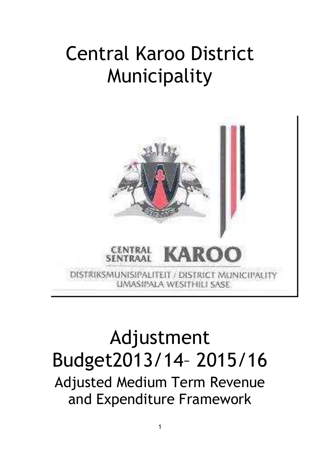# Central Karoo District Municipality



# Adjustment Budget2013/14– 2015/16

Adjusted Medium Term Revenue and Expenditure Framework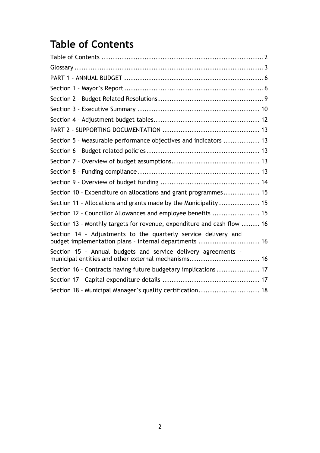# <span id="page-1-0"></span>**Table of Contents**

| Section 5 - Measurable performance objectives and indicators  13                                                         |  |
|--------------------------------------------------------------------------------------------------------------------------|--|
|                                                                                                                          |  |
|                                                                                                                          |  |
|                                                                                                                          |  |
|                                                                                                                          |  |
| Section 10 - Expenditure on allocations and grant programmes 15                                                          |  |
| Section 11 - Allocations and grants made by the Municipality  15                                                         |  |
| Section 12 - Councillor Allowances and employee benefits  15                                                             |  |
| Section 13 - Monthly targets for revenue, expenditure and cash flow  16                                                  |  |
| Section 14 - Adjustments to the quarterly service delivery and<br>budget implementation plans - internal departments  16 |  |
| Section 15 - Annual budgets and service delivery agreements -<br>municipal entities and other external mechanisms 16     |  |
| Section 16 - Contracts having future budgetary implications  17                                                          |  |
|                                                                                                                          |  |
| Section 18 - Municipal Manager's quality certification 18                                                                |  |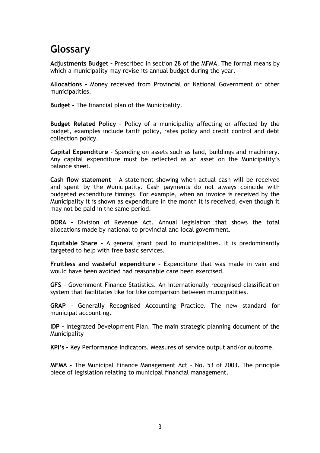## <span id="page-2-0"></span>**Glossary**

**Adjustments Budget –** Prescribed in section 28 of the MFMA. The formal means by which a municipality may revise its annual budget during the year.

**Allocations –** Money received from Provincial or National Government or other municipalities.

**Budget –** The financial plan of the Municipality.

**Budget Related Policy –** Policy of a municipality affecting or affected by the budget, examples include tariff policy, rates policy and credit control and debt collection policy.

**Capital Expenditure** - Spending on assets such as land, buildings and machinery. Any capital expenditure must be reflected as an asset on the Municipality's balance sheet.

**Cash flow statement –** A statement showing when actual cash will be received and spent by the Municipality. Cash payments do not always coincide with budgeted expenditure timings. For example, when an invoice is received by the Municipality it is shown as expenditure in the month it is received, even though it may not be paid in the same period.

**DORA –** Division of Revenue Act. Annual legislation that shows the total allocations made by national to provincial and local government.

**Equitable Share –** A general grant paid to municipalities. It is predominantly targeted to help with free basic services.

**Fruitless and wasteful expenditure –** Expenditure that was made in vain and would have been avoided had reasonable care been exercised.

**GFS –** Government Finance Statistics. An internationally recognised classification system that facilitates like for like comparison between municipalities.

**GRAP –** Generally Recognised Accounting Practice. The new standard for municipal accounting.

**IDP –** Integrated Development Plan. The main strategic planning document of the Municipality

**KPI's –** Key Performance Indicators. Measures of service output and/or outcome.

**MFMA –** The Municipal Finance Management Act – No. 53 of 2003. The principle piece of legislation relating to municipal financial management.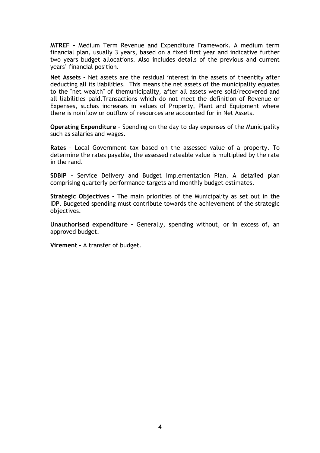**MTREF –** Medium Term Revenue and Expenditure Framework. A medium term financial plan, usually 3 years, based on a fixed first year and indicative further two years budget allocations. Also includes details of the previous and current years' financial position.

**Net Assets –** Net assets are the residual interest in the assets of theentity after deducting all its liabilities. This means the net assets of the municipality equates to the "net wealth" of themunicipality, after all assets were sold/recovered and all liabilities paid.Transactions which do not meet the definition of Revenue or Expenses, suchas increases in values of Property, Plant and Equipment where there is noinflow or outflow of resources are accounted for in Net Assets.

**Operating Expenditure –** Spending on the day to day expenses of the Municipality such as salaries and wages.

**Rates –** Local Government tax based on the assessed value of a property. To determine the rates payable, the assessed rateable value is multiplied by the rate in the rand.

**SDBIP –** Service Delivery and Budget Implementation Plan. A detailed plan comprising quarterly performance targets and monthly budget estimates.

**Strategic Objectives –** The main priorities of the Municipality as set out in the IDP. Budgeted spending must contribute towards the achievement of the strategic objectives.

**Unauthorised expenditure –** Generally, **s**pending without, or in excess of, an approved budget.

**Virement –** A transfer of budget.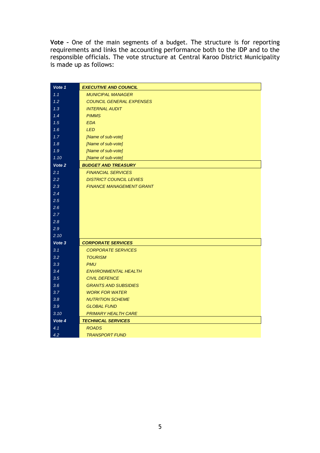**Vote –** One of the main segments of a budget. The structure is for reporting requirements and links the accounting performance both to the IDP and to the responsible officials. The vote structure at Central Karoo District Municipality is made up as follows:

| Vote 1 | <b>EXECUTIVE AND COUNCIL</b>    |
|--------|---------------------------------|
| 1.1    | <b>MUNICIPAL MANAGER</b>        |
| 1.2    | <b>COUNCIL GENERAL EXPENSES</b> |
| 1.3    | <b>INTERNAL AUDIT</b>           |
| 1.4    | <b>PIMMS</b>                    |
| 1.5    | <b>EDA</b>                      |
| 1.6    | <b>LED</b>                      |
| 1.7    | [Name of sub-vote]              |
| 1.8    | [Name of sub-vote]              |
| 1.9    | [Name of sub-vote]              |
| 1.10   | [Name of sub-vote]              |
| Vote 2 | <b>BUDGET AND TREASURY</b>      |
| 2.1    | <b>FINANCIAL SERVICES</b>       |
| 2.2    | <b>DISTRICT COUNCIL LEVIES</b>  |
| 2.3    | <b>FINANCE MANAGEMENT GRANT</b> |
| 2.4    |                                 |
| 2.5    |                                 |
| 2.6    |                                 |
| 2.7    |                                 |
| 2.8    |                                 |
| 2.9    |                                 |
| 2.10   |                                 |
| Vote 3 | <b>CORPORATE SERVICES</b>       |
| 3.1    | <b>CORPORATE SERVICES</b>       |
| 3.2    | <b>TOURISM</b>                  |
| 3.3    | <b>PMU</b>                      |
| 3.4    | <b>ENVIRONMENTAL HEALTH</b>     |
| 3.5    | <b>CIVIL DEFENCE</b>            |
| 3.6    | <b>GRANTS AND SUBSIDIES</b>     |
| 3.7    | <b>WORK FOR WATER</b>           |
| 3.8    | <b>NUTRITION SCHEME</b>         |
| 3.9    | <b>GLOBAL FUND</b>              |
| 3.10   | <b>PRIMARY HEALTH CARE</b>      |
| Vote 4 | <b>TECHNICAL SERVICES</b>       |
| 4.1    | <b>ROADS</b>                    |
| 4.2    | <b>TRANSPORT FUND</b>           |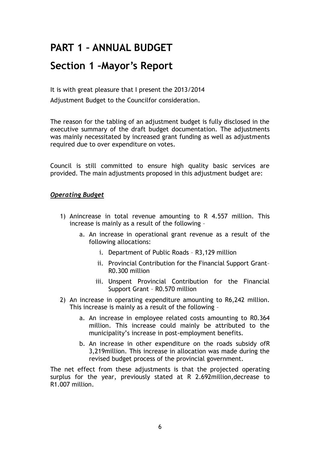# <span id="page-5-0"></span>**PART 1 – ANNUAL BUDGET**

### <span id="page-5-1"></span>**Section 1 –Mayor's Report**

It is with great pleasure that I present the 2013/2014 Adjustment Budget to the Councilfor consideration.

The reason for the tabling of an adjustment budget is fully disclosed in the executive summary of the draft budget documentation. The adjustments was mainly necessitated by increased grant funding as well as adjustments required due to over expenditure on votes.

Council is still committed to ensure high quality basic services are provided. The main adjustments proposed in this adjustment budget are:

#### *Operating Budget*

- 1) Anincrease in total revenue amounting to R 4.557 million. This increase is mainly as a result of the following –
	- a. An increase in operational grant revenue as a result of the following allocations:
		- i. Department of Public Roads R3,129 million
		- ii. Provincial Contribution for the Financial Support Grant– R0.300 million
		- iii. Unspent Provincial Contribution for the Financial Support Grant – R0.570 million
- 2) An increase in operating expenditure amounting to R6,242 million. This increase is mainly as a result of the following –
	- a. An increase in employee related costs amounting to R0.364 million. This increase could mainly be attributed to the municipality's increase in post-employment benefits.
	- b. An increase in other expenditure on the roads subsidy ofR 3,219million. This increase in allocation was made during the revised budget process of the provincial government.

The net effect from these adjustments is that the projected operating surplus for the year, previously stated at R 2.692million,decrease to R1.007 million.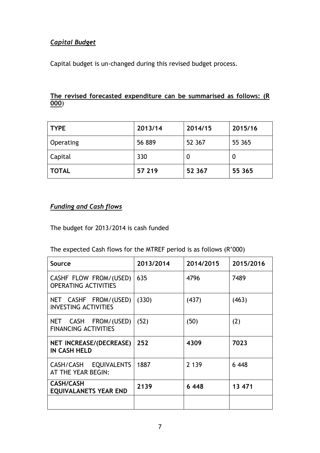### *Capital Budget*

Capital budget is un-changed during this revised budget process.

#### **The revised forecasted expenditure can be summarised as follows: (R 000**)

| <b>TYPE</b>  | 2013/14 | 2014/15 | 2015/16 |
|--------------|---------|---------|---------|
| Operating    | 56 889  | 52 367  | 55 365  |
| Capital      | 330     | 0       |         |
| <b>TOTAL</b> | 57 219  | 52 367  | 55 365  |

### *Funding and Cash flows*

The budget for 2013/2014 is cash funded

#### The expected Cash flows for the MTREF period is as follows (R'000)

| Source                                                | 2013/2014 | 2014/2015 | 2015/2016 |
|-------------------------------------------------------|-----------|-----------|-----------|
| CASHF FLOW FROM/(USED)<br><b>OPERATING ACTIVITIES</b> | 635       | 4796      | 7489      |
| NET CASHF FROM/(USED)<br><b>INVESTING ACTIVITIES</b>  | (330)     | (437)     | (463)     |
| NET CASH FROM/(USED)<br><b>FINANCING ACTIVITIES</b>   | (52)      | (50)      | (2)       |
| <b>NET INCREASE/(DECREASE)</b><br><b>IN CASH HELD</b> | 252       | 4309      | 7023      |
| CASH/CASH EQUIVALENTS<br>AT THE YEAR BEGIN:           | 1887      | 2 1 3 9   | 6448      |
| <b>CASH/CASH</b><br><b>EQUIVALANETS YEAR END</b>      | 2139      | 6448      | 13 471    |
|                                                       |           |           |           |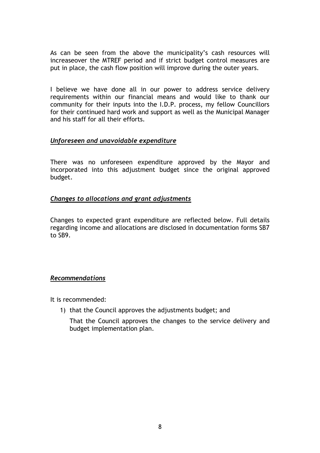As can be seen from the above the municipality's cash resources will increaseover the MTREF period and if strict budget control measures are put in place, the cash flow position will improve during the outer years.

I believe we have done all in our power to address service delivery requirements within our financial means and would like to thank our community for their inputs into the I.D.P. process, my fellow Councillors for their continued hard work and support as well as the Municipal Manager and his staff for all their efforts.

#### *Unforeseen and unavoidable expenditure*

There was no unforeseen expenditure approved by the Mayor and incorporated into this adjustment budget since the original approved budget.

#### *Changes to allocations and grant adjustments*

Changes to expected grant expenditure are reflected below. Full details regarding income and allocations are disclosed in documentation forms SB7 to SB9.

#### *Recommendations*

It is recommended:

1) that the Council approves the adjustments budget; and

That the Council approves the changes to the service delivery and budget implementation plan.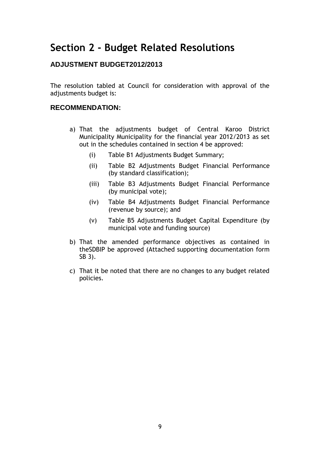### <span id="page-8-0"></span>**Section 2 - Budget Related Resolutions**

### **ADJUSTMENT BUDGET2012/2013**

The resolution tabled at Council for consideration with approval of the adjustments budget is:

#### **RECOMMENDATION:**

- a) That the adjustments budget of Central Karoo District Municipality Municipality for the financial year 2012/2013 as set out in the schedules contained in section 4 be approved:
	- (i) Table B1 Adjustments Budget Summary;
	- (ii) Table B2 Adjustments Budget Financial Performance (by standard classification);
	- (iii) Table B3 Adjustments Budget Financial Performance (by municipal vote);
	- (iv) Table B4 Adjustments Budget Financial Performance (revenue by source); and
	- (v) Table B5 Adjustments Budget Capital Expenditure (by municipal vote and funding source)
- b) That the amended performance objectives as contained in theSDBIP be approved (Attached supporting documentation form SB 3).
- c) That it be noted that there are no changes to any budget related policies.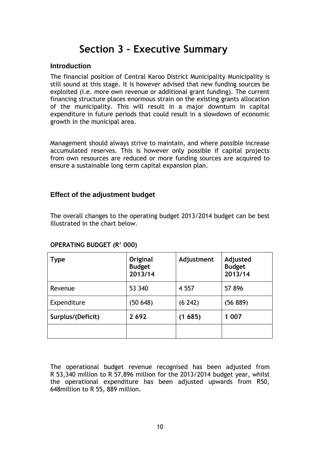### **Section 3 – Executive Summary**

#### <span id="page-9-0"></span>**Introduction**

The financial position of Central Karoo District Municipality Municipality is still sound at this stage. It is however advised that new funding sources be exploited (i.e. more own revenue or additional grant funding). The current financing structure places enormous strain on the existing grants allocation of the municipality. This will result in a major downturn in capital expenditure in future periods that could result in a slowdown of economic growth in the municipal area.

Management should always strive to maintain, and where possible increase accumulated reserves. This is however only possible if capital projects from own resources are reduced or more funding sources are acquired to ensure a sustainable long term capital expansion plan.

#### **Effect of the adjustment budget**

The overall changes to the operating budget 2013/2014 budget can be best illustrated in the chart below.

| <b>Type</b>       | Original<br><b>Budget</b><br>2013/14 | Adjustment | Adjusted<br><b>Budget</b><br>2013/14 |
|-------------------|--------------------------------------|------------|--------------------------------------|
| Revenue           | 53 340                               | 4 5 5 7    | 57 896                               |
| Expenditure       | (50648)                              | (6 242)    | (56 889)                             |
| Surplus/(Deficit) | 2692                                 | (1685)     | 1 0 0 7                              |
|                   |                                      |            |                                      |

#### **OPERATING BUDGET (R' 000)**

The operational budget revenue recognised has been adjusted from R 53,340 million to R 57,896 million for the 2013/2014 budget year, whilst the operational expenditure has been adjusted upwards from R50, 648million to R 55, 889 million.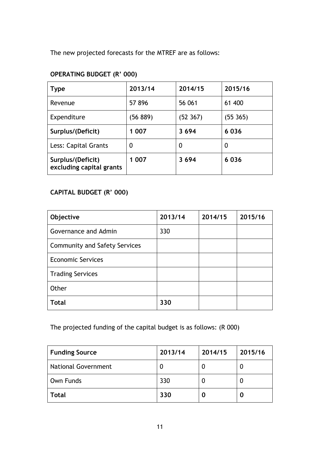The new projected forecasts for the MTREF are as follows:

### **OPERATING BUDGET (R' 000)**

| <b>Type</b>                                   | 2013/14  | 2014/15  | 2015/16  |
|-----------------------------------------------|----------|----------|----------|
| Revenue                                       | 57896    | 56 061   | 61 400   |
| Expenditure                                   | (56 889) | (52 367) | (55 365) |
| Surplus/(Deficit)                             | 1 007    | 3694     | 6036     |
| Less: Capital Grants                          | 0        | 0        | 0        |
| Surplus/(Deficit)<br>excluding capital grants | 1 007    | 3694     | 6036     |

### **CAPITAL BUDGET (R' 000)**

| Objective                            | 2013/14 | 2014/15 | 2015/16 |
|--------------------------------------|---------|---------|---------|
| Governance and Admin                 | 330     |         |         |
| <b>Community and Safety Services</b> |         |         |         |
| <b>Economic Services</b>             |         |         |         |
| <b>Trading Services</b>              |         |         |         |
| Other                                |         |         |         |
| <b>Total</b>                         | 330     |         |         |

### The projected funding of the capital budget is as follows: (R 000)

| <b>Funding Source</b>      | 2013/14 | 2014/15 | 2015/16 |
|----------------------------|---------|---------|---------|
| <b>National Government</b> |         |         | U       |
| Own Funds                  | 330     |         | U       |
| <b>Total</b>               | 330     |         | O       |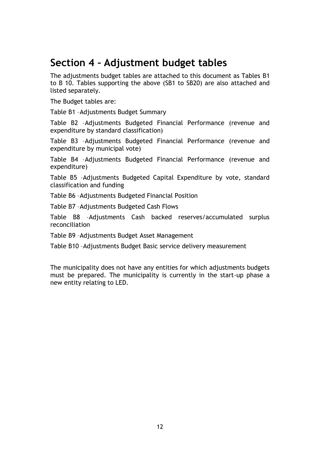### <span id="page-11-0"></span>**Section 4 – Adjustment budget tables**

The adjustments budget tables are attached to this document as Tables B1 to B 10. Tables supporting the above (SB1 to SB20) are also attached and listed separately.

The Budget tables are:

Table B1 –Adjustments Budget Summary

Table B2 –Adjustments Budgeted Financial Performance (revenue and expenditure by standard classification)

Table B3 –Adjustments Budgeted Financial Performance (revenue and expenditure by municipal vote)

Table B4 –Adjustments Budgeted Financial Performance (revenue and expenditure)

Table B5 –Adjustments Budgeted Capital Expenditure by vote, standard classification and funding

Table B6 –Adjustments Budgeted Financial Position

Table B7 –Adjustments Budgeted Cash Flows

Table B8 –Adjustments Cash backed reserves/accumulated surplus reconciliation

Table B9 –Adjustments Budget Asset Management

Table B10 –Adjustments Budget Basic service delivery measurement

The municipality does not have any entities for which adjustments budgets must be prepared. The municipality is currently in the start-up phase a new entity relating to LED.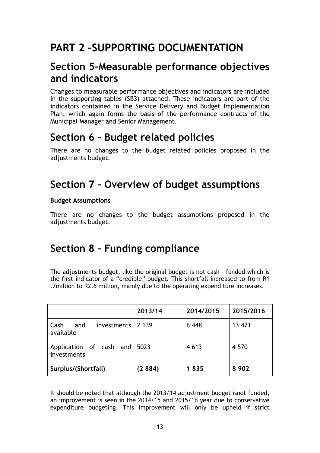# <span id="page-12-0"></span>**PART 2 –SUPPORTING DOCUMENTATION**

### <span id="page-12-1"></span>**Section 5–Measurable performance objectives and indicators**

Changes to measurable performance objectives and indicators are included in the supporting tables (SB3) attached. These indicators are part of the indicators contained in the Service Delivery and Budget Implementation Plan, which again forms the basis of the performance contracts of the Municipal Manager and Senior Management.

### <span id="page-12-2"></span>**Section 6 – Budget related policies**

There are no changes to the budget related policies proposed in the adjustments budget.

### <span id="page-12-3"></span>**Section 7 – Overview of budget assumptions**

### **Budget Assumptions**

There are no changes to the budget assumptions proposed in the adjustments budget.

### <span id="page-12-4"></span>**Section 8 – Funding compliance**

The adjustments budget, like the original budget is not cash – funded which is the first indicator of a "credible" budget. This shortfall increased to from R1 .7million to R2.6 million, mainly due to the operating expenditure increases.

|                                                 | 2013/14 | 2014/2015 | 2015/2016 |
|-------------------------------------------------|---------|-----------|-----------|
| investments   2 139<br>Cash<br>and<br>available |         | 6 4 4 8   | 13 471    |
| Application of cash and<br>investments          | 5023    | 4 6 1 3   | 4 5 7 0   |
| Surplus/(Shortfall)                             | (2884)  | 1835      | 8 9 0 2   |

It should be noted that although the 2013/14 adjustment budget isnot funded, an improvement is seen in the 2014/15 and 2015/16 year due to conservative expenditure budgeting. This improvement will only be upheld if strict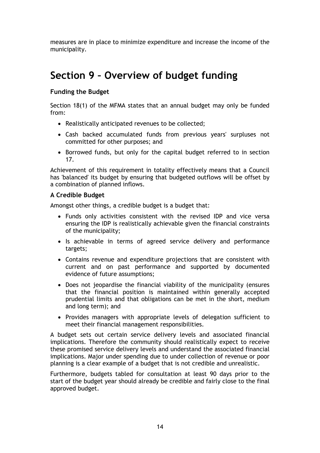measures are in place to minimize expenditure and increase the income of the municipality.

### <span id="page-13-0"></span>**Section 9 – Overview of budget funding**

#### **Funding the Budget**

Section 18(1) of the MFMA states that an annual budget may only be funded from:

- Realistically anticipated revenues to be collected;
- Cash backed accumulated funds from previous years' surpluses not committed for other purposes; and
- Borrowed funds, but only for the capital budget referred to in section 17.

Achievement of this requirement in totality effectively means that a Council has 'balanced' its budget by ensuring that budgeted outflows will be offset by a combination of planned inflows.

#### **A Credible Budget**

Amongst other things, a credible budget is a budget that:

- Funds only activities consistent with the revised IDP and vice versa ensuring the IDP is realistically achievable given the financial constraints of the municipality;
- Is achievable in terms of agreed service delivery and performance targets;
- Contains revenue and expenditure projections that are consistent with current and on past performance and supported by documented evidence of future assumptions;
- Does not jeopardise the financial viability of the municipality (ensures that the financial position is maintained within generally accepted prudential limits and that obligations can be met in the short, medium and long term); and
- Provides managers with appropriate levels of delegation sufficient to meet their financial management responsibilities.

A budget sets out certain service delivery levels and associated financial implications. Therefore the community should realistically expect to receive these promised service delivery levels and understand the associated financial implications. Major under spending due to under collection of revenue or poor planning is a clear example of a budget that is not credible and unrealistic.

Furthermore, budgets tabled for consultation at least 90 days prior to the start of the budget year should already be credible and fairly close to the final approved budget.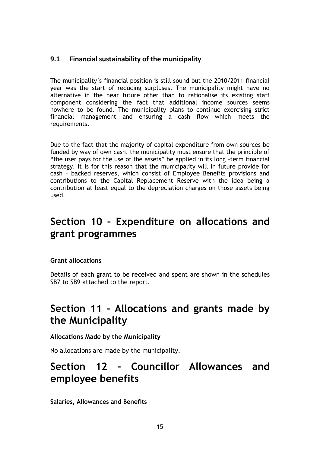### **9.1 Financial sustainability of the municipality**

The municipality's financial position is still sound but the 2010/2011 financial year was the start of reducing surpluses. The municipality might have no alternative in the near future other than to rationalise its existing staff component considering the fact that additional income sources seems nowhere to be found. The municipality plans to continue exercising strict financial management and ensuring a cash flow which meets the requirements.

Due to the fact that the majority of capital expenditure from own sources be funded by way of own cash, the municipality must ensure that the principle of "the user pays for the use of the assets" be applied in its long –term financial strategy. It is for this reason that the municipality will in future provide for cash – backed reserves, which consist of Employee Benefits provisions and contributions to the Capital Replacement Reserve with the idea being a contribution at least equal to the depreciation charges on those assets being used.

### <span id="page-14-0"></span>**Section 10 – Expenditure on allocations and grant programmes**

#### **Grant allocations**

Details of each grant to be received and spent are shown in the schedules SB7 to SB9 attached to the report.

### <span id="page-14-1"></span>**Section 11 – Allocations and grants made by the Municipality**

#### **Allocations Made by the Municipality**

No allocations are made by the municipality.

### <span id="page-14-2"></span>**Section 12 – Councillor Allowances and employee benefits**

**Salaries, Allowances and Benefits**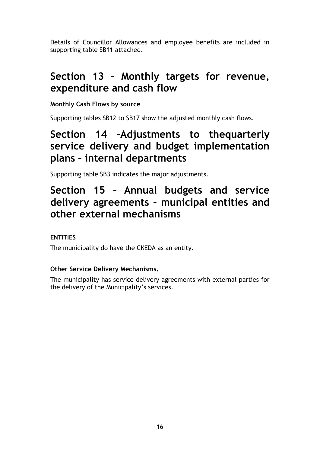Details of Councillor Allowances and employee benefits are included in supporting table SB11 attached.

### <span id="page-15-0"></span>**Section 13 – Monthly targets for revenue, expenditure and cash flow**

### **Monthly Cash Flows by source**

Supporting tables SB12 to SB17 show the adjusted monthly cash flows.

### <span id="page-15-1"></span>**Section 14 –Adjustments to thequarterly service delivery and budget implementation plans – internal departments**

Supporting table SB3 indicates the major adjustments.

### <span id="page-15-2"></span>**Section 15 – Annual budgets and service delivery agreements – municipal entities and other external mechanisms**

### **ENTITIES**

The municipality do have the CKEDA as an entity.

### **Other Service Delivery Mechanisms.**

The municipality has service delivery agreements with external parties for the delivery of the Municipality's services.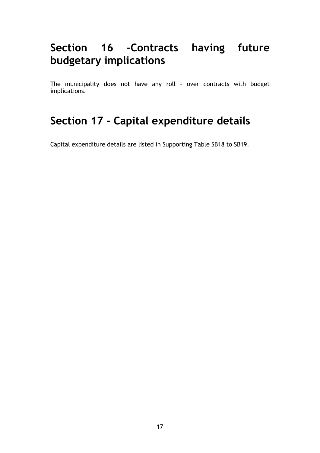# <span id="page-16-0"></span>**Section 16 –Contracts having future budgetary implications**

The municipality does not have any roll – over contracts with budget implications.

# <span id="page-16-1"></span>**Section 17 – Capital expenditure details**

Capital expenditure details are listed in Supporting Table SB18 to SB19.